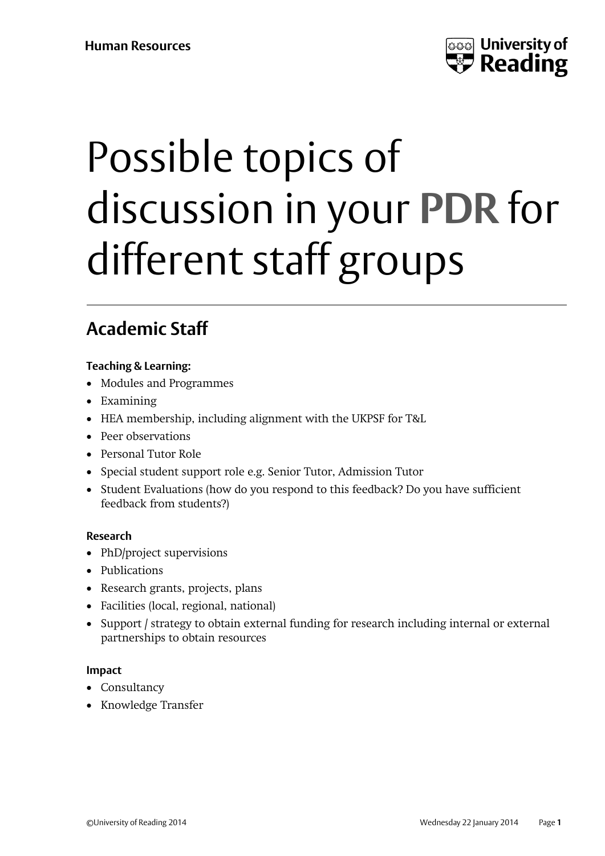

# Possible topics of discussion in your **PDR** for different staff groups

# **Academic Staff**

## **Teaching & Learning:**

- Modules and Programmes
- Examining
- HEA membership, including alignment with the UKPSF for T&L
- Peer observations
- Personal Tutor Role
- Special student support role e.g. Senior Tutor, Admission Tutor
- Student Evaluations (how do you respond to this feedback? Do you have sufficient feedback from students?)

#### **Research**

- PhD/project supervisions
- Publications
- Research grants, projects, plans
- Facilities (local, regional, national)
- Support / strategy to obtain external funding for research including internal or external partnerships to obtain resources

#### **Impact**

- Consultancy
- Knowledge Transfer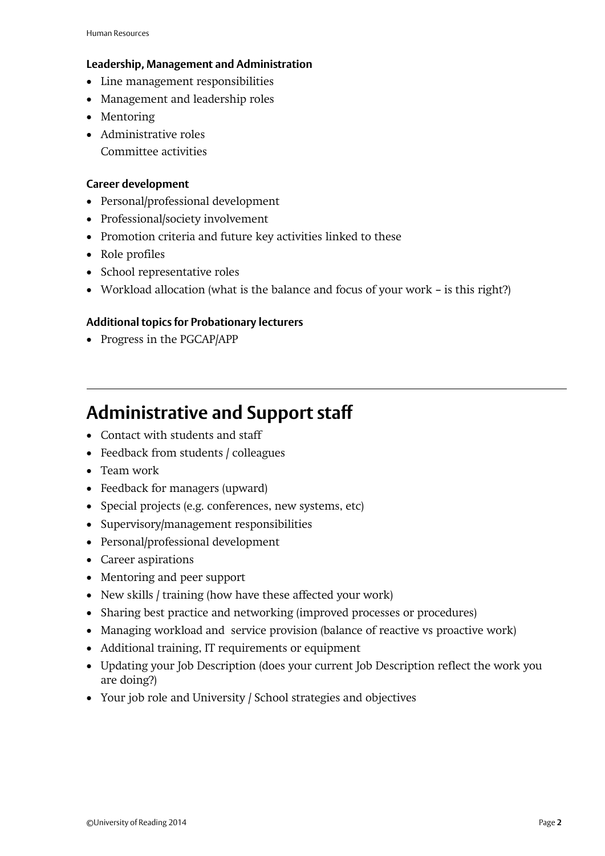#### **Leadership, Management and Administration**

- Line management responsibilities
- Management and leadership roles
- Mentoring
- Administrative roles Committee activities

#### **Career development**

- Personal/professional development
- Professional/society involvement
- Promotion criteria and future key activities linked to these
- Role profiles
- School representative roles
- Workload allocation (what is the balance and focus of your work is this right?)

## **Additional topics for Probationary lecturers**

• Progress in the PGCAP/APP

## **Administrative and Support staff**

- Contact with students and staff
- Feedback from students / colleagues
- Team work
- Feedback for managers (upward)
- Special projects (e.g. conferences, new systems, etc)
- Supervisory/management responsibilities
- Personal/professional development
- Career aspirations
- Mentoring and peer support
- New skills / training (how have these affected your work)
- Sharing best practice and networking (improved processes or procedures)
- Managing workload and service provision (balance of reactive vs proactive work)
- Additional training, IT requirements or equipment
- Updating your Job Description (does your current Job Description reflect the work you are doing?)
- Your job role and University / School strategies and objectives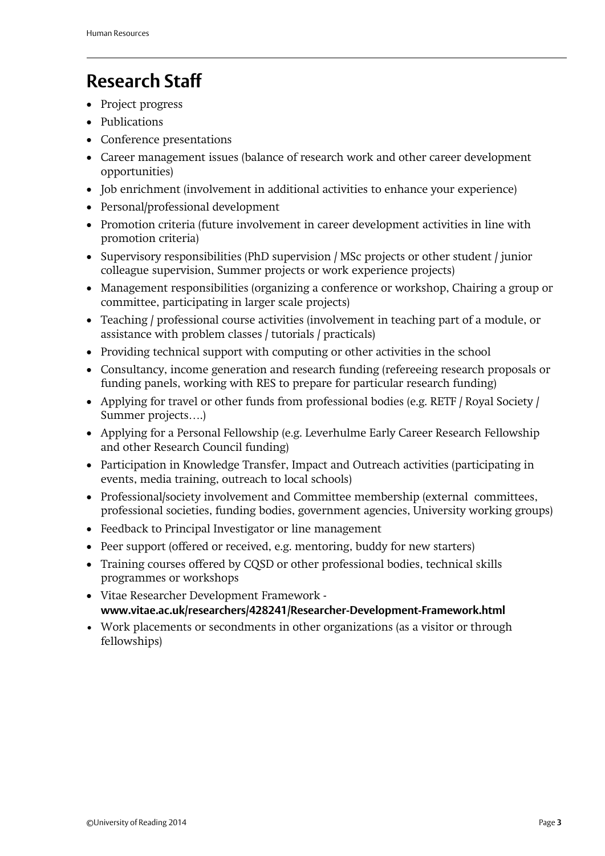## **Research Staff**

- Project progress
- Publications
- Conference presentations
- Career management issues (balance of research work and other career development opportunities)
- Job enrichment (involvement in additional activities to enhance your experience)
- Personal/professional development
- Promotion criteria (future involvement in career development activities in line with promotion criteria)
- Supervisory responsibilities (PhD supervision / MSc projects or other student / junior colleague supervision, Summer projects or work experience projects)
- Management responsibilities (organizing a conference or workshop, Chairing a group or committee, participating in larger scale projects)
- Teaching / professional course activities (involvement in teaching part of a module, or assistance with problem classes / tutorials / practicals)
- Providing technical support with computing or other activities in the school
- Consultancy, income generation and research funding (refereeing research proposals or funding panels, working with RES to prepare for particular research funding)
- Applying for travel or other funds from professional bodies (e.g. RETF / Royal Society / Summer projects….)
- Applying for a Personal Fellowship (e.g. Leverhulme Early Career Research Fellowship and other Research Council funding)
- Participation in Knowledge Transfer, Impact and Outreach activities (participating in events, media training, outreach to local schools)
- Professional/society involvement and Committee membership (external committees, professional societies, funding bodies, government agencies, University working groups)
- Feedback to Principal Investigator or line management
- Peer support (offered or received, e.g. mentoring, buddy for new starters)
- Training courses offered by CQSD or other professional bodies, technical skills programmes or workshops
- Vitae Researcher Development Framework **www.vitae.ac.uk/researchers/428241/Researcher-Development-Framework.html**
- Work placements or secondments in other organizations (as a visitor or through fellowships)